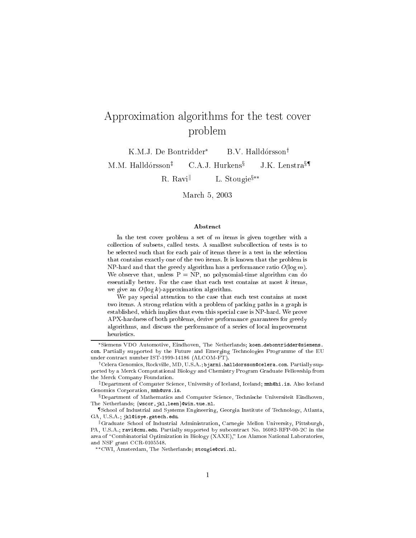# Approximation algorithms for the test over problem

K.M.J. De Bontridder  $B.V.$  Halldórsson<sup>†</sup>

 $M.M.$  Halldórsson<sup> $\ddagger$ </sup> C.A.J. Hurkens $\S$ J.K. Lenstra $\mathbb{S}^{\P}$ 

> R. Ravi L. Stougie $s**$

> > Mar
> > h 5, 2003

#### Abstra
t

In the test cover problem a set of  $m$  items is given together with a collection of subsets, called tests. A smallest subcollection of tests is to be selected such that for each pair of items there is a test in the selection that contains exactly one of the two items. It is known that the problem is NP-hard and that the greedy algorithm has a performance ratio  $O(\log m)$ . We observe that, unless  $P = NP$ , no polynomial-time algorithm can do essentially better. For the case that each test contains at most  $k$  items, we give an  $O(\log k)$ -approximation algorithm.

We pay special attention to the case that each test contains at most two items. A strong relation with a problem of packing paths in a graph is established, which implies that even this special case is NP-hard. We prove APX-hardness of both problems, derive performan
e guarantees for greedy algorithms, and dis
uss the performan
e of a series of lo
al improvement heuristi
s.

Siemens VDO Automotive, Eindhoven, The Netherlands; koen.debontriddersiemens. com. Partially supported by the Future and Emerging Technologies Programme of the EU under ontra
t number IST-1999-14186 (ALCOM-FT).

<sup>&</sup>lt;sup>†</sup>Celera Genomics, Rockville, MD, U.S.A.; bjarni.halldorsson@celera.com. Partially supported by a Mer
k Computational Biology and Chemistry Program Graduate Fellowship from the Mer
k Company Foundation.

<sup>&</sup>lt;sup>‡</sup>Department of Computer Science, University of Iceland, Iceland; **mmh@hi.is.** Also Iceland Genomics Corporation, mmh@uvs.is.

 $$$  Department of Mathematics and Computer Science, Technische Universiteit Eindhoven, The Netherlands; {wscor,jkl,leen}@win.tue.nl.

<sup>{</sup> S
hool of Industrial and Systems Engineering, Georgia Institute of Te
hnology, Atlanta, GA, U.S.A.; jkl@isye.gatech.edu.

kGraduate S
hool of Industrial Administration, Carnegie Mellon University, Pittsburgh, PA, U.S.A.; ravi@cmu.edu. Partially supported by subcontract No. 16082-RFP-00-2C in the area of "Combinatorial Optimization in Biology (XAXE)," Los Alamos National Laboratories, and NSF grant CCR-0105548.

<sup>\*\*</sup> CWI, Amsterdam, The Netherlands; stougie@cwi.nl.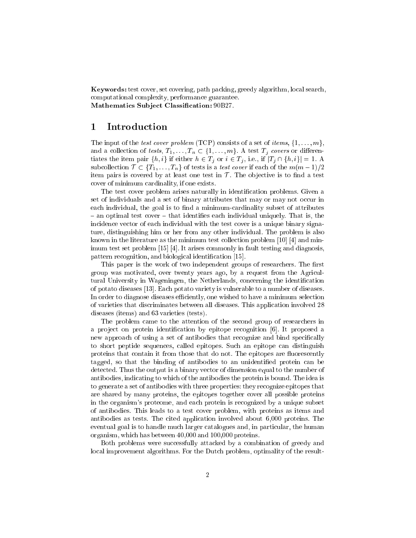Keywords: test cover, set covering, path packing, greedy algorithm, local search, omputational omplexity, performan
e guarantee. Mathematics Subject Classification: 90B27.

# 1 Introduction

The input of the test cover problem (TCP) consists of a set of items,  $\{1,\ldots,m\}$ , and a collection of tests,  $T_1, \ldots, T_n \subset \{1, \ldots, m\}$ . A test  $T_j$  covers or differentiates the item pair  $\{h, i\}$  if either  $h \in T_j$  or  $i \in T_j$ , i.e., if  $|T_j \cap \{h, i\}| = 1$ . A subcollection  $\mathcal{T} \subset \{T_1, \ldots, T_n\}$  of tests is a test cover if each of the  $m(m-1)/2$ item pairs is covered by at least one test in  $\mathcal T$ . The objective is to find a test over of minimum ardinality, if one exists.

The test cover problem arises naturally in identification problems. Given a set of individuals and a set of binary attributes that may or may not occur in each individual, the goal is to find a minimum-cardinality subset of attributes  $-$  an optimal test cover  $-$  that identifies each individual uniquely. That is, the incidence vector of each individual with the test cover is a unique binary signature, distinguishing him or her from any other individual. The problem is also known in the literature as the minimum test collection problem  $[10]$  [4] and minimum test set problem [15] [4]. It arises commonly in fault testing and diagnosis, pattern recognition, and biological identification [15].

This paper is the work of two independent groups of researchers. The first group was motivated, over twenty years ago, by a request from the Agricultural University in Wageningen, the Netherlands, concerning the identification of potato diseases [13]. Each potato variety is vulnerable to a number of diseases. In order to diagnose diseases efficiently, one wished to have a minimum selection of varieties that dis
riminates between all diseases. This appli
ation involved 28 diseases (items) and 63 varieties (tests).

The problem came to the attention of the second group of researchers in a project on protein identification by epitope recognition [6]. It proposed a new approach of using a set of antibodies that recognize and bind specifically to short peptide sequen
es, alled epitopes. Su
h an epitope an distinguish proteins that contain it from those that do not. The epitopes are fluorescently tagged, so that the binding of antibodies to an unidentified protein can be dete
ted. Thus the output is a binary ve
tor of dimension equal to the number of antibodies, indicating to which of the antibodies the protein is bound. The idea is to generate a set of antibodies with three properties: they re
ognize epitopes that are shared by many proteins, the epitopes together over all possible proteins in the organism's proteome, and ea
h protein is re
ognized by a unique subset of antibodies. This leads to a test over problem, with proteins as items and antibodies as tests. The ited appli
ation involved about 6,000 proteins. The eventual goal is to handle much larger catalogues and, in particular, the human organism, whi
h has between 40,000 and 100,000 proteins.

Both problems were successfully attacked by a combination of greedy and local improvement algorithms. For the Dutch problem, optimality of the result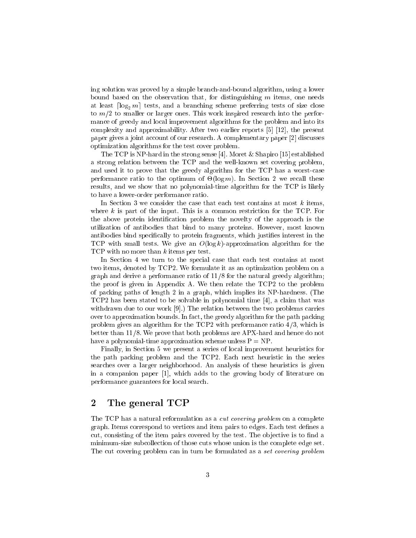ing solution was proved by a simple bran
h-and-bound algorithm, using a lower bound based on the observation that, for distinguishing  $m$  items, one needs at least dlog2 <sup>m</sup><sup>e</sup> tests, and <sup>a</sup> bran
hing s
heme preferring tests of size lose to  $m/2$  to smaller or larger ones. This work inspired research into the performan
e of greedy and lo
al improvement algorithms for the problem and into its complexity and approximability. After two earlier reports  $[5]$   $[12]$ , the present paper gives a joint account of our research. A complementary paper [2] discusses optimization algorithms for the test over problem.

The TCP is NP-hard in the strong sense [4]. Moret & Shapiro [15] established a strong relation between the TCP and the well-known set overing problem, and used it to prove that the greedy algorithm for the TCP has a worst-case performan
e ratio to the optimum of -(log m). In Se
tion 2 we re
all these results, and we show that no polynomial-time algorithm for the TCP is likely to have a lower-order performan
e ratio.

In Section 3 we consider the case that each test contains at most  $k$  items, where  $k$  is part of the input. This is a common restriction for the TCP. For the above protein identification problem the novelty of the approach is the utilization of antibodies that bind to many proteins. However, most known antibodies bind specifically to protein fragments, which justifies interest in the TCP with small tests. We give an  $O(\log k)$ -approximation algorithm for the TCP with no more than k items per test.

In Section 4 we turn to the special case that each test contains at most two items, denoted by TCP2. We formulate it as an optimization problem on a graph and derive a performance ratio of  $11/8$  for the natural greedy algorithm; the proof is given in Appendix A. We then relate the TCP2 to the problem of pa
king paths of length 2 in a graph, whi
h implies its NP-hardness. (The TCP2 has been stated to be solvable in polynomial time  $[4]$ , a claim that was withdrawn due to our work  $[9]$ .) The relation between the two problems carries over to approximation bounds. In fact, the greedy algorithm for the path packing problem gives an algorithm for the  $TCP2$  with performance ratio  $4/3$ , which is better than  $11/8$ . We prove that both problems are APX-hard and hence do not have a polynomial-time approximation scheme unless  $P = NP$ .

Finally, in Se
tion 5 we present a series of lo
al improvement heuristi
s for the path pa
king problem and the TCP2. Ea
h next heuristi in the series searches over a larger neighborhood. An analysis of these heuristics is given in a companion paper [1], which adds to the growing body of literature on performan
e guarantees for lo
al sear
h.

# 2 The general TCP

The TCP has a natural reformulation as a *cut covering problem* on a complete graph. Items orrespond to verti
es and item pairs to edges. Ea
h test denes a cut, consisting of the item pairs covered by the test. The objective is to find a minimum-size subcollection of those cuts whose union is the complete edge set. The cut covering problem can in turn be formulated as a set covering problem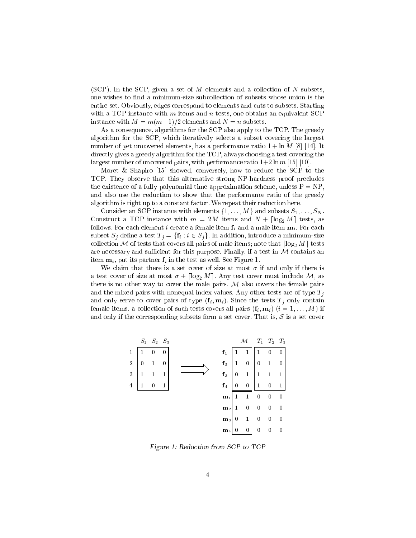(SCP). In the SCP, given a set of M elements and a collection of N subsets, one wishes to find a minimum-size subcollection of subsets whose union is the entire set. Obviously, edges orrespond to elements and uts to subsets. Starting with a TCP instance with  $m$  items and  $n$  tests, one obtains an equivalent SCP instance with  $M = m(m-1)/2$  elements and  $N = n$  subsets.

As a consequence, algorithms for the SCP also apply to the TCP. The greedy algorithm for the SCP, which iteratively selects a subset covering the largest number of yet uncovered elements, has a performance ratio  $1 + \ln M$  [8] [14]. It directly gives a greedy algorithm for the TCP, always choosing a test covering the largest number of uncovered pairs, with performance ratio  $1+2 \ln m$  [15] [10].

Moret & Shapiro  $[15]$  showed, conversely, how to reduce the SCP to the TCP. They observe that this alternative strong NP-hardness proof pre
ludes the existence of a fully polynomial-time approximation scheme, unless  $P = NP$ . and also use the reduction to show that the performance ratio of the greedy algorithm is tight up to a constant factor. We repeat their reduction here.

Consider an SCP instance with elements  $\{1,\ldots,M\}$  and subsets  $S_1,\ldots,S_N$ . construction = 2M items and notice instant instance and and Anti-Q2 Me tests, assembly follows. For each element *i* create a female item  $f_i$  and a male item  $m_i$ . For each subset  $S_i$  define a test  $T_i = \{f_i : i \in S_j\}$ . In addition, introduce a minimum-size olle tion all pairs of the tests that the control of male items; note that  $\sim$  02 Me tests are necessary and sufficient for this purpose. Finally, if a test in  $M$  contains an item  $\mathbf{m}_i$ , put its partner  $\mathbf{f}_i$  in the test as well. See Figure 1.

We claim that there is a set cover of size at most  $\sigma$  if and only if there is a test in test of most in test in  $\alpha$  and  $\alpha$  and  $\alpha$  as  $\alpha$  as  $\alpha$  as  $\alpha$  as  $\alpha$  . Then there is no other way to cover the male pairs.  $M$  also covers the female pairs and the mixed pairs with nonequal index values. Any other tests are of type  $T_i$ and only serve to cover pairs of type  $(f_i, m_i)$ . Since the tests  $T_i$  only contain female items, a collection of such tests covers all pairs  $(f_i, m_i)$   $(i = 1, \ldots, M)$  if and only if the corresponding subsets form a set cover. That is,  $S$  is a set cover



Figure 1: Redu
tion from SCP to TCP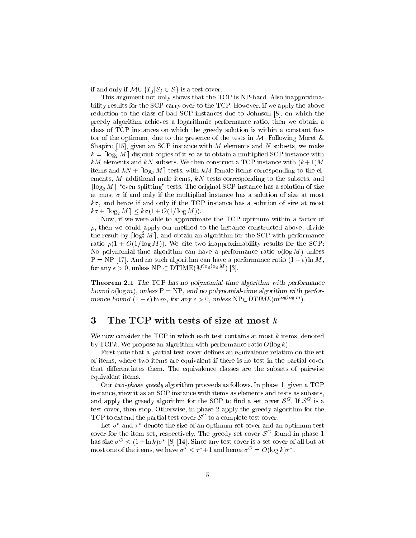if and only if  $\mathcal{M} \cup \{T_j | S_j \in \mathcal{S}\}\$ is a test cover.

This argument not only shows that the TCP is NP-hard. Also inapproximability results for the SCP arry over to the TCP. However, if we apply the above reduction to the class of bad SCP instances due to Johnson [8], on which the greedy algorithm a
hieves a logarithmi performan
e ratio, then we obtain a class of TCP instances on which the greedy solution is within a constant factor of the optimum, due to the presen
e of the tests in M. Following Moret & Shapiro [15], given an SCP instance with  $M$  elements and  $N$  subsets, we make  $k = \lfloor \log_2 M \rfloor$  disjoint copies of it so as to obtain a multiplied SCP instance with kM elements and kN subsets. We then construct a TCP instance with  $(k+1)M$ items and kN + dlog2 <sup>M</sup><sup>e</sup> tests, with kM female items orresponding to the elements,  $M$  additional male items,  $kN$  tests corresponding to the subsets, and discrete splitting tests. The original SCP instance in section of size  $\sim$ at most  $\sigma$  if and only if the multiplied instance has a solution of size at most  $k\sigma$ , and hence if and only if the TCP instance has a solution of size at most k +dlog  $\lambda$  +dlog  $\lambda$  +dlog  $\lambda$ 

Now, if we were able to approximate the TCP optimum within a factor of  $\rho$ , then we could apply our method to the instance constructed above, divide the result by  $\lfloor \log_2 M \rfloor$  , and obtain an algorithm for the SCP with performance ratio  $\rho(1 + O(1/\log M))$ . We cite two inapproximability results for the SCP: No polynomial-time algorithm can have a performance ratio  $o(\log M)$  unless  $P = NP$  [17]. And no such algorithm can have a performance ratio  $(1 - \epsilon) \ln M$ , for any  $\epsilon > 0$ , unless NP  $\subset$  DTIME( $M^{\log \log M}$ ) [3].

**Theorem 2.1** The TCP has no polynomial-time algorithm with performance bound  $o(\log m)$ , unless  $P = NP$ , and no polynomial-time algorithm with performance bound  $(1 - \epsilon)$  in m, for any  $\epsilon > 0$ , unless  $NPCD$  **I** lime  $(m^{1-\epsilon} \cdots)$ .

#### 3 The TCP with tests of size at most  $k$

We now consider the  $TCP$  in which each test contains at most  $k$  items, denoted by TCPk. We propose an algorithm with performance ratio  $O(\log k)$ .

First note that a partial test cover defines an equivalence relation on the set of items, where two items are equivalent if there is no test in the partial over that differentiates them. The equivalence classes are the subsets of pairwise equivalent items.

Our two-phase greedy algorithm proceeds as follows. In phase  $1$ , given a TCP instan
e, view it as an SCP instan
e with items as elements and tests as subsets, and apply the greedy algorithm for the  $5C_F$  to find a set cover  $S_{\alpha}$  . If  $S_{\alpha}$  is a test over, then stop. Otherwise, in phase 2 apply the greedy algorithm for the TCP to extend the partial test cover  $S^-$  to a complete test cover.

Let  $\sigma$  and  $\tau$  -denote the size of an optimum set cover and an optimum test cover for the field set, respectively. The greedy set cover  $S^-$  found in phase 1  $\max$  size  $\sigma \sim (1 + \ln \kappa) \sigma$  [6] [14]. Since any test cover is a set cover of all but at most one of the feaths, we have  $\sigma \sim \tau +1$  and hence  $\sigma = O(\log \kappa) \tau$ .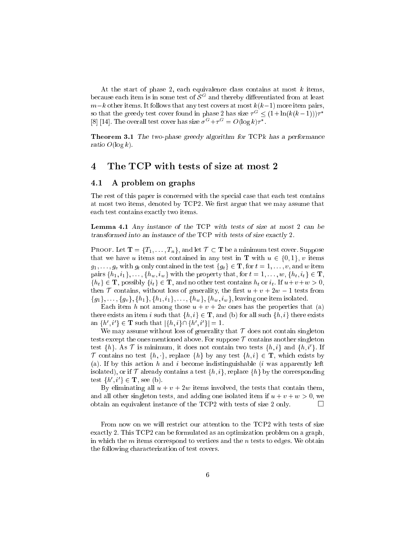At the start of phase 2, each equivalence class contains at most  $k$  items, because each nem is in some test of  $S_{\alpha}$  and thereby differentiated from at least  $m-k$  other items. It follows that any test covers at most  $k(k-1)$  more item pairs. so that the greedy test cover found in phase 2 has size  $\tau^- \leq (1 + \ln(k)k - 1))\tau^ [8]$  [14]. The overall test cover has size  $\sigma^+ + \tau^- = O(\log \kappa) \tau$ .

Theorem 3.1 The two-phase greedy algorithm for TCPk has a performan
e ratio  $O(\log k)$ .

#### $\overline{\mathbf{4}}$ The TCP with tests of size at most  $2$

### 4.1 A problem on graphs

The rest of this paper is concerned with the special case that each test contains at most two items, denoted by TCP2. We first argue that we may assume that each test contains exactly two items.

Lemma 4.1 Any instance of the TCP with tests of size at most 2 can be transformed into an instance of the TCP with tests of size exactly 2.

PROOF. Let  $\mathbf{T} = \{T_1, \ldots, T_n\}$ , and let  $\mathcal{T} \subset \mathbf{T}$  be a minimum test cover. Suppose that we have u items not contained in any test in **T** with  $u \in \{0, 1\}$ , v items  $g_1, \ldots, g_v$  with  $g_t$  only contained in the test  $\{g_t\} \in \mathbf{T}$ , for  $t = 1, \ldots, v$ , and w item pairs  $\{h_1, i_1\}, \ldots, \{h_w, i_w\}$  with the property that, for  $t = 1, \ldots, w, \{h_t, i_t\} \in \mathbf{T}$ ,  ${h_t} \in T$ , possibly  ${i_t} \in T$ , and no other test contains  $h_t$  or  $i_t$ . If  $u + v + w > 0$ , then  $\mathcal T$  contains, without loss of generality, the first  $u + v + 2w - 1$  tests from  $\{g_1\},\ldots,\{g_v\},\{h_1\},\{h_1,i_1\},\ldots,\{h_w\},\{h_w,i_w\},$  leaving one item isolated.

Each item h not among those  $u + v + 2w$  ones has the properties that (a) there exists an item i such that  $\{h, i\} \in \mathbf{T}$ , and (b) for all such  $\{h, i\}$  there exists an  $\{n, i\} \in \mathbb{I}$  such that  $\{n, i\} \cup \{n, i\} = 1$ .

We may assume without loss of generality that  $\mathcal T$  does not contain singleton tests except the ones mentioned above. For suppose  $\mathcal T$  contains another singleton test  $\{h\}$ . As T is minimum, it does not contain two tests  $\{h, t\}$  and  $\{h, t\}$ . If T ontains no test fh; g, repla
e fhg by any test fh; ig <sup>2</sup> T, whi
h exists by (a). If by this action h and i become indistinguishable (i was apparently left isolated), or if  $\mathcal T$  already contains a test  $\{h, i\}$ , replace  $\{h\}$  by the corresponding test  $\{n, i\} \in \bot$ , see (d).

By eliminating all  $u + v + 2w$  items involved, the tests that contain them, and all other singleton tests, and adding one isolated item if  $u + v + w > 0$ , we obtain an equivalent instance of the TCP2 with tests of size 2 only.

From now on we will restrict our attention to the TCP2 with tests of size exactly 2. This TCP2 can be formulated as an optimization problem on a graph, in which the  $m$  items correspond to vertices and the  $n$  tests to edges. We obtain the following hara
terization of test overs.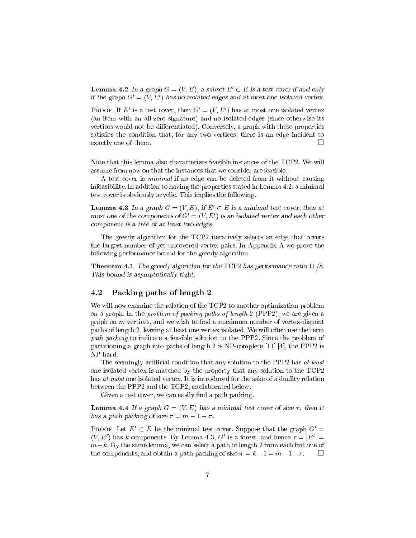**Lemma 4.2** In a graph  $G = (V, E)$ , a subset  $E' \subset E$  is a test cover if and only If the graph  $G_0 = (V, E_0)$  has no isolated edges and at most one isolated vertex.

**PROOF.** If E is a test cover, then  $G = (V, E)$  has at most one isolated vertex (an item with an all-zero signature) and no isolated edges (sin
e otherwise its vertices would not be differentiated). Conversely, a graph with these properties satisfies the condition that, for any two vertices, there is an edge incident to exactly one of them.

Note that this lemma also hara
terizes feasible instan
es of the TCP2. We will assume from now on that the instan
es that we onsider are feasible.

A test cover is *minimal* if no edge can be deleted from it without causing infeasibility. In addition to having the properties stated in Lemma 4.2, a minimal test cover is obviously acyclic. This implies the following.

**Lemma 4.3** In a graph  $G = (V, E)$ , if  $E' \subset E$  is a minimal test cover, then at most one of the components of  $G = (V, E)$  is an isolated vertex and each other omponent is a tree of at least two edges.

The greedy algorithm for the TCP2 iteratively selects an edge that covers the largest number of yet un
overed vertex pairs. In Appendix A we prove the following performan
e bound for the greedy algorithm.

**Theorem 4.1** The greedy algorithm for the TCP2 has performance ratio  $11/8$ . This bound is asymptotically tight.

### 4.2 Pa
king paths of length 2

We will now examine the relation of the TCP2 to another optimization problem on a graph. In the *problem of packing paths of length* 2 (PPP2), we are given a  $graph on m$  vertices, and we wish to find a maximum number of vertex-disjoint paths of length 2, leaving at least one vertex isolated. We will often use the term path packing to indicate a feasible solution to the PPP2. Since the problem of partitioning a graph into paths of length 2 is NP-complete  $[11]$   $[4]$ , the PPP2 is NP-hard.

The seemingly artificial condition that any solution to the PPP2 has at least one isolated vertex is mat
hed by the property that any solution to the TCP2 has at most one isolated vertex. It is introduced for the sake of a duality relation between the PPP2 and the TCP2, as elaborated below.

Given a test cover, we can easily find a path packing.

**Lemma 4.4** If a graph  $G = (V, E)$  has a minimal test cover of size  $\tau$ , then it has a path packing of size  $\pi = m - 1 - \tau$ .

PROOF. Let  $E' \subset E$  be the minimal test cover. Suppose that the graph  $G' =$  $(V, E)$  has k components. By Lemma 4.3, G is a forest, and hence  $\tau = |E| =$  $m-k$ . By the same lemma, we can select a path of length 2 from each but one of the components, and obtain a path packing of size  $\pi = k - 1 = m - 1 - \tau$ .  $\Box$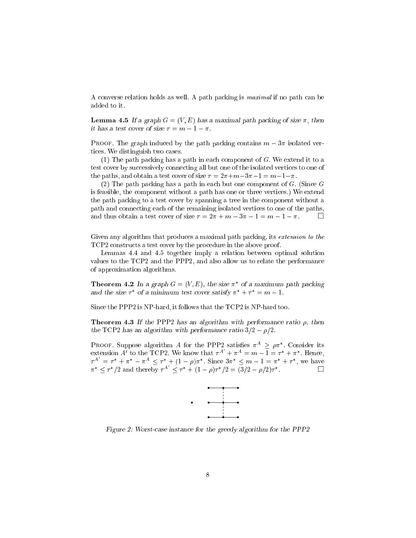A converse relation holds as well. A path packing is *maximal* if no path can be added to it.

**Lemma 4.5** If a graph  $G = (V, E)$  has a maximal path packing of size  $\pi$ , then it has a test cover of size  $\tau = m - 1 - \pi$ .

PROOF. The graph induced by the path packing contains  $m-3\pi$  isolated verti
es. We distinguish two ases.

(1) The path packing has a path in each component of  $G$ . We extend it to a test cover by successively connecting all but one of the isolated vertices to one of the paths, and obtain a test cover of size  $\tau = 2\pi + m - 3\pi - 1 = m - 1 - \pi$ .

(2) The path packing has a path in each but one component of  $G$ . (Since  $G$ is feasible, the component without a path has one or three vertices.) We extend the path pa
king to a test over by spanning a tree in the omponent without a path and onne
ting ea
h of the remaining isolated verti
es to one of the paths, and thus obtain a test cover of size  $\tau = 2\pi + m - 3\pi - 1 = m - 1 - \pi$ .  $\Box$ 

Given any algorithm that produces a maximal path packing, its extension to the TCP2 constructs a test cover by the procedure in the above proof.

Lemmas 4.4 and 4.5 together imply a relation between optimal solution values to the TCP2 and the PPP2, and also allow us to relate the performan
e of approximation algorithms.

**Theorem 4.2** In a graph  $G = (V, E)$ , the size  $\pi$  of a maximum path packing and the size  $\tau$  of a minimum test cover satisfy  $\pi$  +  $\tau$  =  $m$  - 1.

Sin
e the PPP2 is NP-hard, it follows that the TCP2 is NP-hard too.

**Theorem 4.3** If the PPP2 has an algorithm with performance ratio  $\rho$ , then the TCP2 has an algorithm with performance ratio  $3/2 - \rho/2$ .

PROOF. Suppose algorithm A for the PPP2 satisfies  $\pi^+ > \rho \pi$ . Consider its extension A' to the TCP2. We know that  $\tau^A + \pi^A = m - 1 = \tau^* + \pi^*$ . Hence,  $\tau^{A} = \tau^{*} + \pi^{*} - \pi^{A} \leq \tau^{*} + (1 - \rho)\pi^{*}$ . Since  $3\pi^{*} \leq m - 1 = \pi^{*} + \tau^{*}$ , we have  $\pi^* \leq \tau^* / 2$  and thereby  $\tau^A \leq \tau^* + (1 - \rho) \tau^* / 2 = (3/2 - \rho/2) \tau^*$ .



Figure 2: Worstase instan
e for the greedy algorithm for the PPP2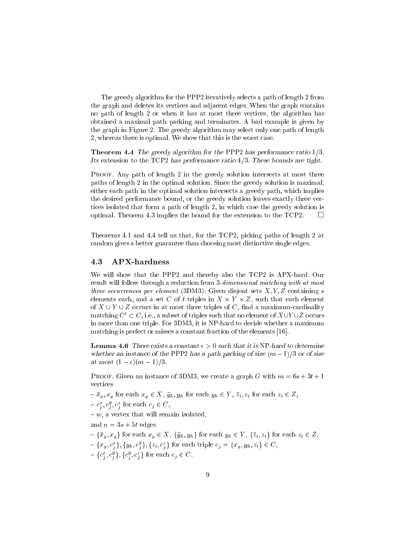The greedy algorithm for the PPP2 iteratively selects a path of length 2 from the graph and deletes its verti
es and adja
ent edges. When the graph ontains no path of length 2 or when it has at most three verti
es, the algorithm has obtained a maximal path pa
king and terminates. A bad example is given by the graph in Figure 2. The greedy algorithm may sele
t only one path of length 2, whereas three is optimal. We show that this is the worst ase.

**Theorem 4.4** The greedy algorithm for the PPP2 has performance ratio  $1/3$ . Its extension to the  $TCP2$  has performance ratio  $4/3$ . These bounds are tight.

PROOF. Any path of length 2 in the greedy solution intersects at most three paths of length 2 in the optimal solution. Sin
e the greedy solution is maximal, either each path in the optimal solution intersects a greedy path, which implies the desired performan
e bound, or the greedy solution leaves exa
tly three vertices isolated that form a path of length 2, in which case the greedy solution is optimal. Theorem 4.3 implies the bound for the extension to the TCP2.  $\Box$ 

Theorems 4.1 and 4.4 tell us that, for the TCP2, pi
king paths of length 2 at random gives a better guarantee than choosing most distinctive single edges.

### 4.3 APX-hardness

We will show that the PPP2 and thereby also the TCP2 is APX-hard. Our result will follow through a reduction from 3-dimensional matching with at most three occurrences per element (3DM3): Given disjont sets  $X, Y, Z$  containing  $s$ elements early most client to the complete in a set of the set control control control that the complete of  $X \cup Y \cup Z$  occurs in at most three triples of C, find a maximum-cardinality matching  $C' \subset C$ , i.e., a subset of triples such that no element of  $X \cup Y \cup Z$  occurs in more than one triple. For 3DM3, it is NP-hard to de
ide whether a maximum matching is perfect or misses a constant fraction of the elements [16].

**Lemma 4.6** There exists a constant  $\epsilon > 0$  such that it is NP-hard to determine whether an instance of the PPP2 has a path packing of size  $(m-1)/3$  or of size at most  $(1 - \epsilon)(m - 1)/3$ .

PROOF. Given an instance of 3DM3, we create a graph G with  $m = 6s + 3t + 1$ verti
es

 $-\bar{x}_g, x_g$  for each  $x_g \in X$ ,  $\bar{y}_h, y_h$  for each  $y_h \in Y$ ,  $\bar{z}_i, z_i$  for each  $z_i \in Z$ ,

 $=c_j^x, c_j^z, c_j^z$  for each  $c_j \in C$ ,

 $-w$ , a vertex that will remain isolated,

and  $n = 3s + 5t$  edges

 ${\sigma} = {\bar{x}_a, x_a}$  for each  $x_a \in X$ ,  ${\bar{y}_h, y_h}$  for each  $y_h \in Y$ ,  ${\bar{z}_i, z_i}$  for each  $z_i \in Z$ ,  $\{f=x_g, c^*_j\}, \{y_h, c^*_j\}, \{z_i, c^*_j\}$  for each triple  $c_j=\{x_g, y_h, z_i\} \in C,$  $= \{c_j^*, c_j^*, \} \}, \{c_j^*, c_j^* \}$  for each  $c_j \in C$ .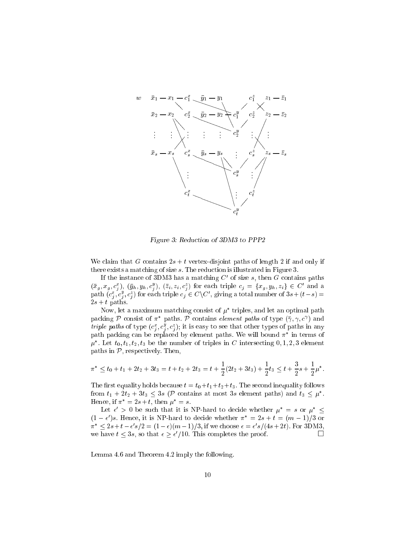

Figure 3: Redu
tion of 3DM3 to PPP2

We claim that G contains  $2s + t$  vertex-disjoint paths of length 2 if and only if there exists a matching of size s. The reduction is illustrated in Figure 3.

If the instance of  $\delta D$ M3 has a matching  $C^-$  of size  $s$ , then  $G$  contains paths  $(x_g, x_g, c_i^z), (y_h, y_h, c_i^z), (z_i, z_i, c_i^z)$  for each triple  $c_j = \{x_g, y_h, z_i\} \in C^{\prime}$  and a path  $(c_j^*, c_j^*, c_j^*)$  for each triple  $c_j \in C \backslash C'$ , giving a total number of  $3s + (t-s) =$  $2s + t$  paths.

Now, let a maximum matching consist of  $\mu$  -triples, and let an optimal path packing P consist of  $\pi$  -paths. P contains element paths of type  $(\gamma, \gamma, c)$  and *triple paths* of type  $(c_j^*, c_j^*, c_j^*);$  it is easy to see that other types of paths in any path packing can be replaced by element paths. We will bound  $\pi^*$  in terms of  $\mu$  . Let  $\iota_0, \iota_1, \iota_2, \iota_3$  be the number of triples in C intersecting  $0, 1, 2, 3$  element paths in  $P$ , respectively. Then,

$$
\pi^* \le t_0 + t_1 + 2t_2 + 3t_3 = t + t_2 + 2t_3 = t + \frac{1}{2}(2t_2 + 3t_3) + \frac{1}{2}t_3 \le t + \frac{3}{2}s + \frac{1}{2}\mu^*.
$$

The first equality holds because  $t = t_0 + t_1 + t_2 + t_3$ . The second inequality follows from  $\iota_1 + 2 \iota_2 + 3 \iota_3 \leq 3 s$  (P contains at most  $3 s$  element paths) and  $\iota_3 \leq \mu$  . Hence, if  $\pi^* = 2s + t$ , then  $\mu^* = s$ .

Let  $\epsilon$   $>$  0 be such that it is NP-hard to declue whether  $\mu$   $\;$   $=$   $s$  or  $\mu$   $\;$   $<$  $(1 - \epsilon)$ s. Hence, it is NP-hard to decide whether  $\pi$  =  $2s + i = (m - 1)/3$  or  $\pi > 2s + t - \epsilon s/2 = (1 - \epsilon)(m - 1)/5$ , if we choose  $\epsilon = \epsilon s/(4s + 2t)$ . For SDINIS, we have  $t \leq 3s$ , so that  $\epsilon \geq \epsilon$  /10. This completes the proof.

Lemma 4.6 and Theorem 4.2 imply the following.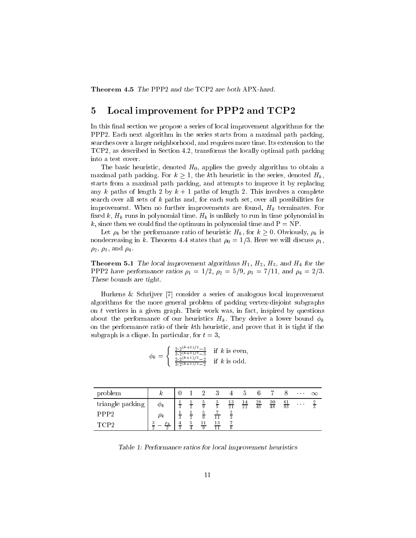Theorem 4.5 The PPP2 and the TCP2 are both APX-hard.

# 5 Local improvement for PPP2 and TCP2

In this final section we propose a series of local improvement algorithms for the PPP2. Ea
h next algorithm in the series starts from a maximal path pa
king, sear
hes over a larger neighborhood, and requires more time. Its extension to the TCP2, as described in Section 4.2, transforms the locally optimal path packing into a test over.

The basic heuristic, denoted  $H_0$ , applies the greedy algorithm to obtain a maximal path packing. For  $k \geq 1$ , the kth heuristic in the series, denoted  $H_k$ , starts from a maximal path packing, and attempts to improve it by replacing any k paths of length 2 by  $k + 1$  paths of length 2. This involves a complete search over all sets of k paths and, for each such set, over all possibilities for improvement. When no further improvements are found,  $H_k$  terminates. For fixed k,  $H_k$  runs in polynomial time.  $H_k$  is unlikely to run in time polynomial in k, since then we could find the optimum in polynomial time and  $P = NP$ .

Let  $\rho_k$  be the performance ratio of heuristic  $H_k$ , for  $k \geq 0$ . Obviously,  $\rho_k$  is nondere reasing in the states that  $r \vee r$  is the states that  $1,1,1$  $\rho_2$ ,  $\rho_3$ , and  $\rho_4$ .

Theorem 5.1 The low improvement algorithms H1, H2, H2, H4, And H4 for the PPP2 have performan
e ratios 1 <sup>=</sup> 1=2, 2 <sup>=</sup> 5=9, 3 <sup>=</sup> 7=11, and 4 <sup>=</sup> 2=3. These bounds are tight.

Hurkens & Schrijver  $[7]$  consider a series of analogous local improvement algorithms for the more general problem of pa
king vertex-disjoint subgraphs on  $t$  vertices in a given graph. Their work was, in fact, inspired by questions about the performance of our heuristics  $H_k$ . They derive a lower bound  $\phi_k$ on the performan
e ratio of their kth heuristi
, and prove that it is tight if the subgraph is a clique. In particular, for  $t = 3$ ,

$$
\phi_k = \begin{cases} \frac{2 \cdot 2^{(k+2)/2} - 3}{3 \cdot 2^{(k+2)/2} - 3} & \text{if } k \text{ is even,} \\ \frac{2 \cdot 2^{(k+1)/2} - 2}{3 \cdot 2^{(k+1)/2} - 2} & \text{if } k \text{ is odd.} \end{cases}
$$

| problem          | $\kappa$                              |                     |               | 2             | 2                   |          | 5        | h        |          |                 | $\sim$ 100 $\sim$ 100 $\sim$ | $\infty$            |
|------------------|---------------------------------------|---------------------|---------------|---------------|---------------------|----------|----------|----------|----------|-----------------|------------------------------|---------------------|
| triangle packing | $\phi_k$                              | $\overline{3}$      | $\frac{1}{2}$ | $\frac{5}{9}$ | $\overline{3}$<br>5 | 13<br>21 | 14<br>22 | 29<br>45 | 30<br>46 | <u>61</u><br>93 | $\cdots$                     | ົ<br>$\overline{3}$ |
| PPP <sub>2</sub> | $\rho_k$                              | $\overline{3}$      | $\frac{1}{2}$ | $\frac{5}{9}$ |                     | 3        |          |          |          |                 |                              |                     |
| TCP <sub>2</sub> | ≘<br>$\rho_k$<br>$\Omega$<br>$\Omega$ | 4<br>$\overline{3}$ | 5             | 11<br>9       | 13                  |          |          |          |          |                 |                              |                     |

Table 1: Performance ratios for local improvement heuristics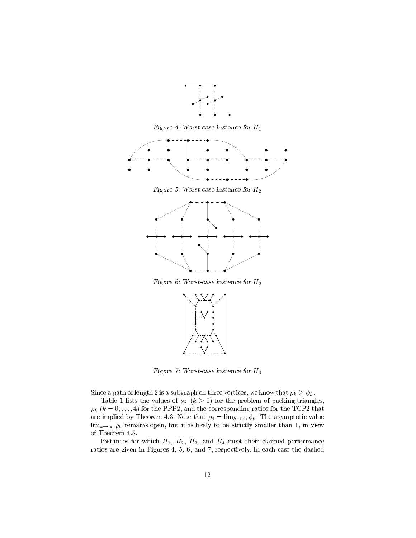

Figure 4: Worst-case instance for  $H_1$ 





Figure 6: Worstase instan
e for H3



Figure 7: Worstase instan
e for H4

Since a path of length 2 is a subgraph on three vertices, we know that  $\rho_k \ge \phi_k$ .

Table 1 lists the values of  $\phi_k$  ( $k \geq 0$ ) for the problem of packing triangles,  $\rho_k$  ( $k = 0, \ldots, 4$ ) for the PPP2, and the corresponding ratios for the TCP2 that are in planning that a symptotic term and the asymptotic term and the asymptotic term as in the asymptotic term  $\lim_{k\to\infty} \rho_k$  remains open, but it is likely to be strictly smaller than 1, in view of Theorem 4.5.

es for which we have the first control of the first control the control of the control of the control of the control of the control of the control of the control of the control of the control of the control of the control ratios are given in Figures 4, 5, 6, and 7, respectively. In each case the dashed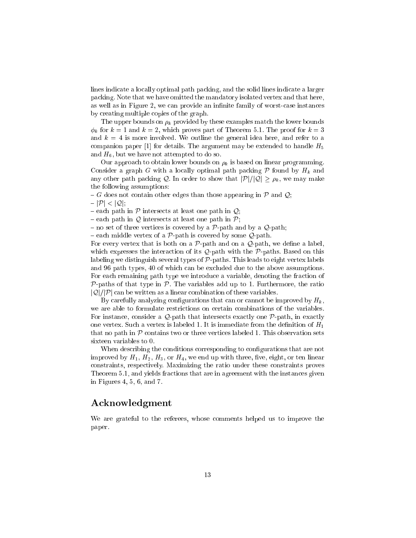lines indicate a locally optimal path packing, and the solid lines indicate a larger pa
king. Note that we have omitted the mandatory isolated vertex and that here, as well as in Figure 2, we can provide an infinite family of worst-case instances by reating multiple opies of the graph.

The upper bounds on  $\rho_k$  provided by these examples match the lower bounds  $\phi_k$  for  $k = 1$  and  $k = 2$ , which proves part of Theorem 5.1. The proof for  $k = 3$ and  $k = 4$  is more involved. We outline the general idea here, and refer to a  $\mathbf{r}$  for details. The argument may be extended to the argument may be extended to handle H5 argument may be extended to handle H5 argument may be extended to handle H5 argument may be extended to handle H5 argument ma and  $H_6$ , but we have not attempted to do so.

Our approach to obtain lower bounds on  $\rho_k$  is based on linear programming. Consider a graph G with a locally optimal path packing  $P$  found by  $H_k$  and any other path packing Q. In order to show that  $|\mathcal{P}|/|\mathcal{Q}|\geq \rho_k$ , we may make the following assumptions:

 $-G$  does not contain other edges than those appearing in P and Q;

 $-|\mathcal{P}| < |Q|$ ;

 $-$  each path in  $P$  intersects at least one path in  $Q$ ;

 $-$  each path in Q intersects at least one path in  $P$ ;

 $-$  no set of three vertices is covered by a  $\mathcal{P}$ -path and by a  $\mathcal{Q}$ -path;

 $-$  each middle vertex of a  $P$ -path is covered by some  $Q$ -path.

For every vertex that is both on a  $\mathcal{P}$ -path and on a  $\mathcal{Q}$ -path, we define a label. which expresses the interaction of its  $Q$ -path with the  $P$ -paths. Based on this labeling we distinguish several types of  $P$ -paths. This leads to eight vertex labels and 96 path types, 40 of which can be excluded due to the above assumptions. For ea
h remaining path type we introdu
e a variable, denoting the fra
tion of  $P$ -paths of that type in  $P$ . The variables add up to 1. Furthermore, the ratio  $|\mathcal{Q}|/|\mathcal{P}|$  can be written as a linear combination of these variables.

By carefully analyzing configurations that can or cannot be improved by  $H_k$ , we are able to formulate restri
tions on ertain ombinations of the variables. For instance, consider a  $Q$ -path that intersects exactly one  $P$ -path, in exactly one vertex. Support is labeled in the developed in the determination of H11 into anomalous of H11 i that no path in  $P$  contains two or three vertices labeled 1. This observation sets sixteen variables to 0.

When describing the conditions corresponding to configurations that are not improved by  $H_1$ ,  $H_2$ ,  $H_3$ , or  $H_4$ , we end up with three, five, eight, or ten linear onstraints, respe
tively. Maximizing the ratio under these onstraints proves Theorem 5.1, and yields fractions that are in agreement with the instances given in Figures 4, 5, 6, and 7.

# A
knowledgment

We are grateful to the referees, whose omments helped us to improve the paper.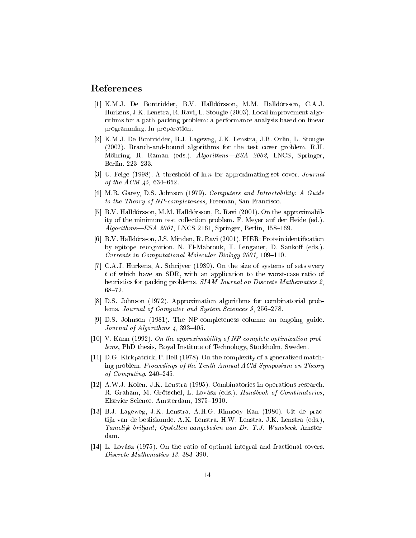## Referen
es

- [1] K.M.J. De Bontridder, B.V. Halldórsson, M.M. Halldórsson, C.A.J. Hurkens, J.K. Lenstra, R. Ravi, L. Stougie (2003). Lo
al improvement algorithms for a path pa
king problem: a performan
e analysis based on linear programming. In preparation.
- [2] K.M.J. De Bontridder, B.J. Lageweg, J.K. Lenstra, J.B. Orlin, L. Stougie (2002). Bran
h-and-bound algorithms for the test over problem. R.H. Möhring, R. Raman (eds.). Algorithms-ESA 2002, LNCS, Springer, Berlin, 223-233.
- [3] U. Feige (1998). A threshold of  $\ln n$  for approximating set cover. *Journal* of the  $ACM$  45, 634-652.
- [4] M.R. Garey, D.S. Johnson (1979). Computers and Intractability: A Guide to the Theory of NP-completeness, Freeman, San Francisco.
- [5] B.V. Halldórsson, M.M. Halldórsson, R. Ravi (2001). On the approximability of the minimum test collection problem. F. Meyer auf der Heide (ed.).  $Algorithms-ESA 2001$ , LNCS 2161, Springer, Berlin, 158-169.
- [6] B.V. Halldórsson, J.S. Minden, R. Ravi (2001). PIER: Protein identification by epitope recognition. N. El-Mabrouk, T. Lengauer, D. Sankoff (eds.).  $Currents$  in Computational Molecular Biology 2001, 109-110.
- [7] C.A.J. Hurkens, A. Schrijver (1989). On the size of systems of sets every t of which have an SDR, with an application to the worst-case ratio of heuristics for packing problems. SIAM Journal on Discrete Mathematics 2, 68-72.
- [8] D.S. Johnson (1972). Approximation algorithms for combinatorial problems. Journal of Computer and System Sciences 9, 256–278.
- [9] D.S. Johnson (1981). The NP-completeness column: an ongoing guide. Journal of Algorithms  $\lambda$ , 393-405.
- $[10]$  V. Kann (1992). On the approximability of NP-complete optimization problems, PhD thesis, Royal Institute of Technology, Stockholm, Sweden.
- [11] D.G. Kirkpatrick, P. Hell (1978). On the complexity of a generalized matching problem. Proceedings of the Tenth Annual ACM Symposium on Theory of Computing,  $240-245$ .
- [12] A.W.J. Kolen, J.K. Lenstra (1995). Combinatorics in operations research. R. Graham, M. Grötschel, L. Lovász (eds.). Handbook of Combinatorics, Elsevier Science, Amsterdam, 1875-1910.
- [13] B.J. Lageweg, J.K. Lenstra, A.H.G. Rinnooy Kan (1980). Uit de practijk van de besliskunde. A.K. Lenstra, H.W. Lenstra, J.K. Lenstra (eds.), Tamelijk briljant; Opstellen aangeboden aan Dr. T.J. Wansbeek, Amster-
- [14] L. Lovász (1975). On the ratio of optimal integral and fractional covers. Discrete Mathematics 13, 383-390.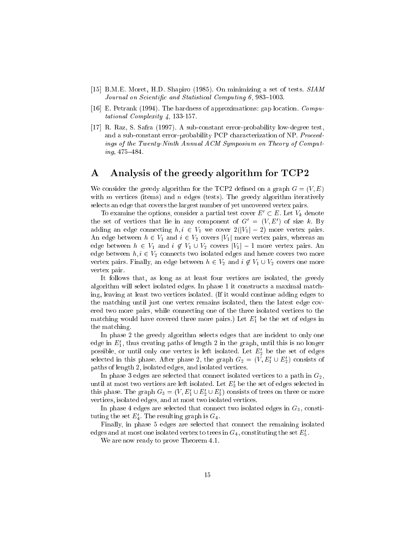- [15] B.M.E. Moret, H.D. Shapiro (1985). On minimizing a set of tests.  $SIAM$ Journal on Scientific and Statistical Computing 6, 983–1003.
- [16] E. Petrank (1994). The hardness of approximations: gap location.  $Compu$ tational Complexity 4, 133-157.
- [17] R. Raz, S. Safra (1997). A sub-constant error-probability low-degree test, and a sub-constant error-probability PCP characterization of NP. Proceedings of the Twenty-Ninth Annual ACM Symposium on Theory of Comput $ing, 475–484.$

#### A Analysis of the greedy algorithm for TCP2  $\mathbf A$

We consider the greedy algorithm for the TCP2 defined on a graph  $G = (V, E)$ with  $m$  vertices (items) and  $n$  edges (tests). The greedy algorithm iteratively selects an edge that covers the largest number of yet uncovered vertex pairs.

To examine the options, consider a partial test cover  $E' \subset E$ . Let  $V_k$  denote the set of vertices that he in any component of  $G_0 = (V, E_1)$  of size  $\kappa$ . By adding the edge connecting that is a visit of the edge of the edge of the connection of the connection of the An edge between h <sup>2</sup> V1 and <sup>i</sup> <sup>2</sup> V2 overs jV1j more vertex pairs, whereas an edge between het van die 12 veer in 12 van die 12 veer en in 12 veer het van die 12 veer vertex pairs. Andere edge between h; i <sup>2</sup> V2 onne
ts two isolated edges and hen
e overs two more vertex pairs. Finally, and the province of 2 V2 and i 62 V2 v2 and i 62 V2 and i 62 V2 and interesting vertex pair.

It follows that, as long as at least four vertices are isolated, the greedy algorithm will sele
t isolated edges. In phase 1 it onstru
ts a maximal mat
hing, leaving at least two verti
es isolated. (If it would ontinue adding edges to the matching until just one vertex remains isolated, then the latest edge covered two more pairs, while onne
ting one of the three isolated verti
es to the  $m$ atching would have covered three more pairs.) Let  $E_1$  be the set of edges in the matching.

In phase 2 the greedy algorithm selects edges that are incident to only one edge in  $E_1$ , thus creating paths of length 2 in the graph, until this is no longer possible, or until only one vertex is left isolated. Let  $E_2$  be the set of edges selected in this phase. After phase 2, the graph  $G_2 = (V, E_1 \cup E_2)$  consists of paths of length 2, isolated edges, and isolated verti
es.

In phase 3 edges are selected that connect isolated vertices to a path in  $G_2$ , until at most two vertices are left isolated. Let  $E_3$  be the set of edges selected in this phase. The graph  $G_3 = (V, E_1 \cup E_2 \cup E_3)$  consists of trees on three or more verti
es, isolated edges, and at most two isolated verti
es.

In phase 4 edges are selected that connect two isolated edges in  $G_3$ , constituting the set  $E_4$ . The resulting graph is  $G_4$ .

Finally, in phase 5 edges are selected that connect the remaining isolated edges and at most one isolated vertex to trees in  $\mathrm{G}_{4},$  constituting the set  $E_{5}.$ 

We are now ready to prove Theorem  $4.1$ .